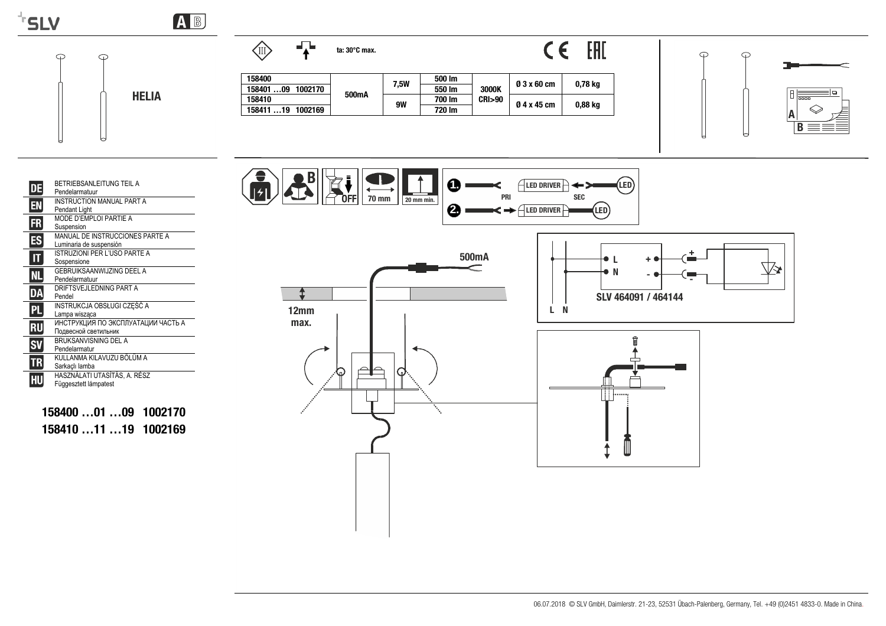

 $\bigcirc$ 

 $\odot$ 

**HELIA** 

AB



158400

158410

158401...09 1002170

158411 ... 19 1002169

# CE EHI

 $500 \, \text{Im}$ 

 $550 \, \text{Im}$ 

 $700 \, \text{Im}$ 

720 lm

3000K

**CRI>90** 

**7.5W** 

**9W** 

500mA



 $\odot$ 

 $\odot$ 





158400 ...01 ...09 1002170 158410 ... 11 ... 19 1002169

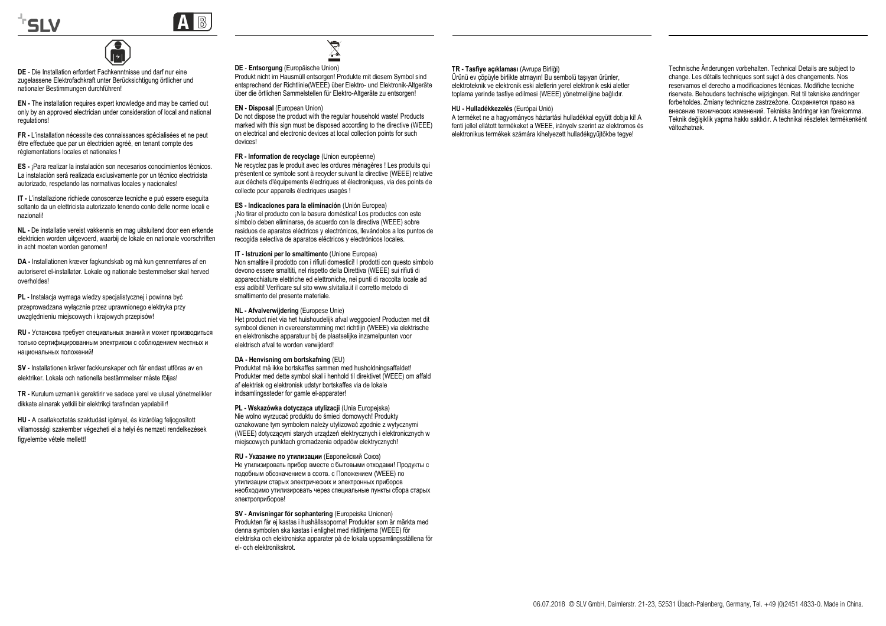



**DE** - Die Installation erfordert Fachkenntnisse und darf nur eine zugelassene Elektrofachkraft unter Berücksichtigung örtlicher und nationaler Bestimmungen durchführen!

€

**EN -** The installation requires expert knowledge and may be carried out only by an approved electrician under consideration of local and national regulations!

**FR -** L'installation nécessite des connaissances spécialisées et ne peut être effectuée que par un électricien agréé, en tenant compte des réglementations locales et nationales !

**ES -** ¡Para realizar la instalación son necesarios conocimientos técnicos. La instalación será realizada exclusivamente por un técnico electricista autorizado, respetando las normativas locales y nacionales!

**IT -** L'installazione richiede conoscenze tecniche e può essere eseguita soltanto da un elettricista autorizzato tenendo conto delle norme locali e nazionali!

**NL -** De installatie vereist vakkennis en mag uitsluitend door een erkende elektricien worden uitgevoerd, waarbij de lokale en nationale voorschriften in acht moeten worden genomen!

**DA -** Installationen kræver fagkundskab og må kun gennemføres af en autoriseret el-installatør. Lokale og nationale bestemmelser skal herved overholdes!

**PL -** Instalacja wymaga wiedzy specjalistycznej i powinna być przeprowadzana wyłącznie przez uprawnionego elektryka przy uwzględnieniu miejscowych i krajowych przepisów!

**RU -** Установка требует специальных знаний <sup>и</sup> может производиться только сертифицированным электриком <sup>с</sup> соблюдением местных <sup>и</sup> национальных положений!

**SV -** Installationen kräver fackkunskaper och får endast utföras av en elektriker. Lokala och nationella bestämmelser måste följas!

**TR -** Kurulum uzmanlık gerektirir ve sadece yerel ve ulusal yönetmelikler dikkate alınarak yetkili bir elektrikçi tarafından yapılabilir!

**HU -** A csatlakoztatás szaktudást igényel, és kizárólag feljogosított villamossági szakember végezheti el a helyi és nemzeti rendelkezések figyelembe vétele mellett!



### **DE** - **Entsorgung** (Europäische Union)

Produkt nicht im Hausmüll entsorgen! Produkte mit diesem Symbol sind entsprechend der Richtlinie(WEEE) über Elektro- und Elektronik-Altgeräte über die örtlichen Sammelstellen für Elektro-Altgeräte zu entsorgen!

### **EN - Disposal** (European Union)

Do not dispose the product with the regular household waste! Products marked with this sign must be disposed according to the directive (WEEE) on electrical and electronic devices at local collection points for such devices!

### **FR - Information de recyclage** (Union européenne)

Ne recyclez pas le produit avec les ordures ménagères ! Les produits qui présentent ce symbole sont à recycler suivant la directive (WEEE) relative aux déchets d'équipements électriques et électroniques, via des points de collecte pour appareils électriques usagés !

**ES - Indicaciones para la eliminación** (Unión Europea) ¡No tirar el producto con la basura doméstica! Los productos con este símbolo deben eliminarse, de acuerdo con la directiva (WEEE) sobre residuos de aparatos eléctricos y electrónicos, llevándolos a los puntos de recogida selectiva de aparatos eléctricos y electrónicos locales.

**IT - Istruzioni per lo smaltimento** (Unione Europea) Non smaltire il prodotto con i rifiuti domestici! I prodotti con questo simbolo devono essere smaltiti, nel rispetto della Direttiva (WEEE) sui rifiuti di apparecchiature elettriche ed elettroniche, nei punti di raccolta locale ad essi adibiti! Verificare sul sito www.slvitalia.it il corretto metodo di smaltimento del presente materiale.

**NL - Afvalverwijdering** (Europese Unie)

Het product niet via het huishoudelijk afval weggooien! Producten met dit symbool dienen in overeenstemming met richtlijn (WEEE) via elektrische en elektronische apparatuur bij de plaatselijke inzamelpunten voor elektrisch afval te worden verwijderd!

### **DA - Henvisning om bortskafning** (EU)

Produktet må ikke bortskaffes sammen med husholdningsaffaldet! Produkter med dette symbol skal i henhold til direktivet (WEEE) om affald af elektrisk og elektronisk udstyr bortskaffes via de lokale indsamlingssteder for gamle el-apparater!

**PL - Wskazówka dotycząca utylizacji** (Unia Europejska) Nie wolno wyrzucać produktu do śmieci domowych! Produkty oznakowane tym symbolem należy utylizować zgodnie z wytycznymi (WEEE) dotyczącymi starych urządzeń elektrycznych i elektronicznych w miejscowych punktach gromadzenia odpadów elektrycznych!

**RU - Указание по утилизации** (Европейский Союз) Не утилизировать прибор вместе <sup>с</sup> бытовыми отходами! Продукты <sup>с</sup> подобным обозначением <sup>в</sup> соотв. <sup>с</sup> Положением (WEEE) по утилизации старых электрических <sup>и</sup> электронных приборов необходимо утилизировать через специальные пункты сбора старых электроприборов!

**SV - Anvisningar för sophantering** (Europeiska Unionen) Produkten får ej kastas i hushållssoporna! Produkter som är märkta med denna symbolen ska kastas i enlighet med riktlinjerna (WEEE) för elektriska och elektroniska apparater på de lokala uppsamlingsställena för el- och elektronikskrot.

#### **TR - Tasfiye açıklaması** (Avrupa Birliği)

Ürünü ev çöpüyle birlikte atmayın! Bu sembolü taşıyan ürünler, elektroteknik ve elektronik eski aletlerin yerel elektronik eski aletler toplama yerinde tasfiye edilmesi (WEEE) yönetmeliğine bağlıdır.

#### **HU - Hulladékkezelés** (Európai Unió)

A terméket ne a hagyományos háztartási hulladékkal együtt dobja ki! A fenti jellel ellátott termékeket a WEEE, irányelv szerint az elektromos és elektronikus termékek számára kihelyezett hulladékgyűjtőkbe tegye!

Technische Änderungen vorbehalten. Technical Details are subject to change. Les détails techniques sont sujet à des changements. Nos reservamos el derecho a modificaciones técnicas. Modifiche tecniche riservate. Behoudens technische wijzigingen. Ret til tekniske ændringer forbeholdes. Zmiany techniczne zastrzeżone. Сохраняется право на внесение технических изменений. Tekniska ändringar kan förekomma. Teknik değişiklik yapma hakkı saklıdır. A technikai részletek termékenként változhatnak.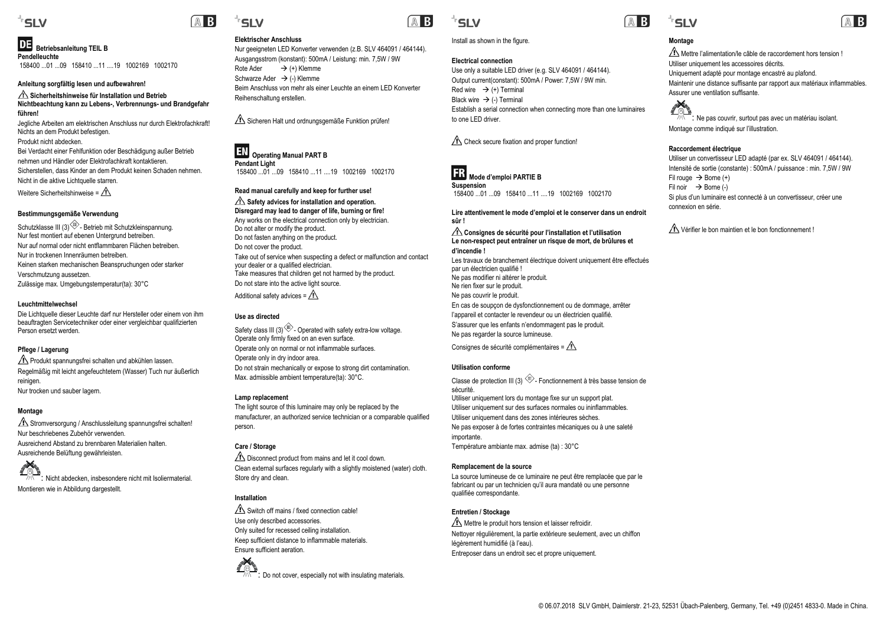### 'SLV

DE  **Betriebsanleitung TEIL B Pendelleuchte**158400 ...01 ...09 158410 ...11 ....19 1002169 1002170

### **Anleitung sorgfältig lesen und aufbewahren!**

### **Sicherheitshinweise für Installation und Betrieb Nichtbeachtung kann zu Lebens-, Verbrennungs- und Brandgefahr führen!**

Jegliche Arbeiten am elektrischen Anschluss nur durch Elektrofachkraft! Nichts an dem Produkt befestigen. Produkt nicht abdecken.

Bei Verdacht einer Fehlfunktion oder Beschädigung außer Betrieb nehmen und Händler oder Elektrofachkraft kontaktieren.Sicherstellen, dass Kinder an dem Produkt keinen Schaden nehmen. Nicht in die aktive Lichtquelle starren.

Weitere Sicherheitshinweise =  $\bigwedge$ 

### **Bestimmungsgemäße Verwendung**

Schutzklasse III (3)<sup>(11)</sup>- Betrieb mit Schutzkleinspannung. Nur fest montiert auf ebenen Untergrund betreiben. Nur auf normal oder nicht entflammbaren Flächen betreiben.Nur in trockenen Innenräumen betreiben.Keinen starken mechanischen Beanspruchungen oder starker Verschmutzung aussetzen. Zulässige max. Umgebungstemperatur(ta): 30°C

### **Leuchtmittelwechsel**

Die Lichtquelle dieser Leuchte darf nur Hersteller oder einem von ihm beauftragten Servicetechniker oder einer vergleichbar qualifizierten Person ersetzt werden.

### **Pflege / Lagerung**

**Produkt spannungsfrei schalten und abkühlen lassen.** Regelmäßig mit leicht angefeuchtetem (Wasser) Tuch nur äußerlich reinigen. Nur trocken und sauber lagern.

### **Montage**

Stromversorgung / Anschlussleitung spannungsfrei schalten! Nur beschriebenes Zubehör verwenden.Ausreichend Abstand zu brennbaren Materialien halten.Ausreichende Belüftung gewährleisten.

: Nicht abdecken, insbesondere nicht mit Isoliermaterial. Montieren wie in Abbildung dargestellt.

### **Elektrischer Anschluss**

'SLV

Nur geeigneten LED Konverter verwenden (z.B. SLV 464091 / 464144). Ausgangsstrom (konstant): 500mA / Leistung: min. 7,5W / 9W Rote Ader  $\rightarrow$  (+) Klemme Schwarze Ader → (-) Klemme Beim Anschluss von mehr als einer Leuchte an einem LED Konverter Reihenschaltung erstellen.

Sicheren Halt und ordnungsgemäße Funktion prüfen!

### **EN** Operating Manual PART B **Pendant Light** 158400 01 09 158410 11 19 1002169 1002170

### **Read manual carefully and keep for further use!**

#### **Safety advices for installation and operation. Disregard may lead to danger of life, burning or fire!**

Any works on the electrical connection only by electrician. Do not alter or modify the product. Do not fasten anything on the product. Do not cover the product. Take out of service when suspecting a defect or malfunction and contact your dealer or a qualified electrician. Take measures that children get not harmed by the product. Do not stare into the active light source. Additional safety advices =  $\triangle$ 

### **Use as directed**

Safety class III (3) $\langle \hat{\mathbb{D}} \rangle$ - Operated with safety extra-low voltage. Operate only firmly fixed on an even surface. Operate only on normal or not inflammable surfaces. Operate only in dry indoor area. Do not strain mechanically or expose to strong dirt contamination. Max. admissible ambient temperature(ta): 30°C.

### **Lamp replacement**

The light source of this luminaire may only be replaced by the manufacturer, an authorized service technician or a comparable qualified person.

### **Care / Storage**

 $\Lambda$  Disconnect product from mains and let it cool down. Clean external surfaces regularly with a slightly moistened (water) cloth. Store dry and clean.

### **Installation**

 $\triangle$  Switch off mains / fixed connection cable! Use only described accessories. Only suited for recessed ceiling installation. Keep sufficient distance to inflammable materials. Ensure sufficient aeration.





### Install as shown in the figure.

### **Electrical connection**

Use only a suitable LED driver (e.g. SLV 464091 / 464144). Output current(constant): 500mA / Power: 7,5W / 9W min. Red wire  $\rightarrow$  (+) Terminal Black wire → (-) Terminal Establish a serial connection when connecting more than one luminaires to one LED driver

Check secure fixation and proper function!



**Suspension** 158400 ...01 ...09 158410 ...11 ....19 1002169 1002170

### **Lire attentivement le mode d'emploi et le conserver dans un endroit sûr !**

**Consignes de sécurité pour l'installation et l'utilisation Le non-respect peut entraîner un risque de mort, de brûlures et d'incendie !**

Les travaux de branchement électrique doivent uniquement être effectués par un électricien qualifié ! Ne pas modifier ni altérer le produit. Ne rien fixer sur le produit. Ne pas couvrir le produit. En cas de soupçon de dysfonctionnement ou de dommage, arrêter l'appareil et contacter le revendeur ou un électricien qualifié S'assurer que les enfants n'endommagent pas le produit. Ne pas regarder la source lumineuse.

Consignes de sécurité complémentaires =  $\sqrt{N}$ 

### **Utilisation conforme**

Classe de protection III (3)  $\overline{\mathbb{D}}$ - Fonctionnement à très basse tension de sécurité. Utiliser uniquement lors du montage fixe sur un support plat. Utiliser uniquement sur des surfaces normales ou ininflammables. Utiliser uniquement dans des zones intérieures sèches. Ne pas exposer à de fortes contraintes mécaniques ou à une saleté importante. Température ambiante max. admise (ta) : 30°C

### **Remplacement de la source**

La source lumineuse de ce luminaire ne peut être remplacée que par le fabricant ou par un technicien qu'il aura mandaté ou une personne qualifiée correspondante.

### **Entretien / Stockage**

Mettre le produit hors tension et laisser refroidir. Nettoyer régulièrement, la partie extérieure seulement, avec un chiffon légèrement humidifié (à l'eau). Entreposer dans un endroit sec et propre uniquement.



### **Montage**

Mettre l'alimentation/le câble de raccordement hors tension ! Utiliser uniquement les accessoires décrits. Uniquement adapté pour montage encastré au plafond. Maintenir une distance suffisante par rapport aux matériaux inflammables. Assurer une ventilation suffisante.



: Ne pas couvrir, surtout pas avec un matériau isolant. Montage comme indiqué sur l'illustration.

### **Raccordement électrique**

Utiliser un convertisseur LED adapté (par ex. SLV 464091 / 464144). Intensité de sortie (constante) : 500mA / puissance : min. 7,5W / 9W Fil rouge → Borne (+) Fil noir → Borne (-) Si plus d'un luminaire est connecté à un convertisseur, créer une connexion en série.

Vérifier le bon maintien et le bon fonctionnement !

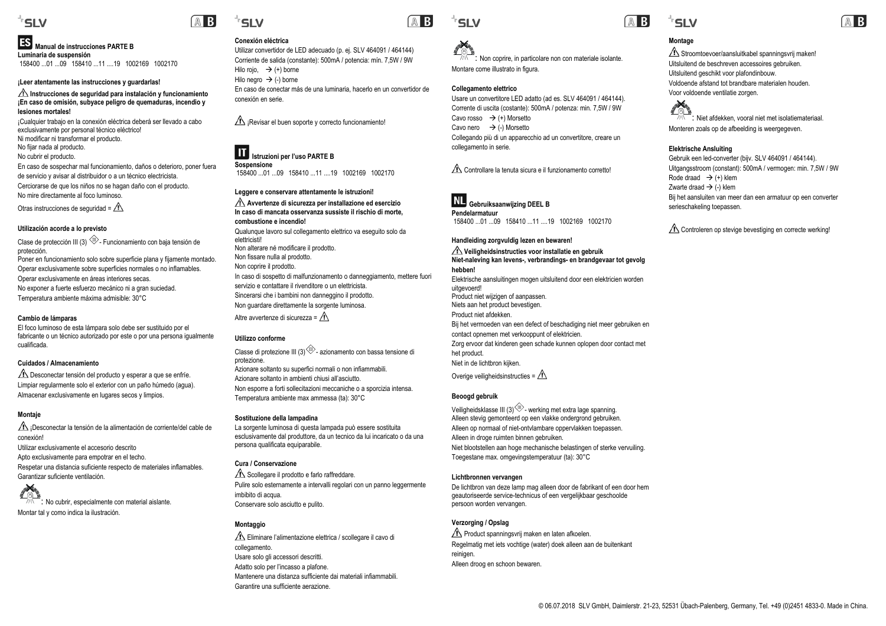### 'SLV

### **Manual de instrucciones PARTE B Luminaria de suspensión**

158400 ...01 ...09 158410 ...11 ....19 1002169 1002170

### **¡Leer atentamente las instrucciones y guardarlas!**

### **Instrucciones de seguridad para instalación y funcionamiento ¡En caso de omisión, subyace peligro de quemaduras, incendio y lesiones mortales!**

¡Cualquier trabajo en la conexión eléctrica deberá ser llevado a cabo exclusivamente por personal técnico eléctrico! Ni modificar ni transformar el producto. No fijar nada al producto.

No cubrir el producto.

En caso de sospechar mal funcionamiento, daños o deterioro, poner fuera de servicio y avisar al distribuidor o a un técnico electricista. Cerciorarse de que los niños no se hagan daño con el producto. No mire directamente al foco luminoso.

Otras instrucciones de seguridad =  $\sqrt{N}$ 

### **Utilización acorde a lo previsto**

Clase de protección III (3)  $\widehat{\mathbb{D}}$ - Funcionamiento con baja tensión de protección. Poner en funcionamiento solo sobre superficie plana y fijamente montado. Operar exclusivamente sobre superficies normales o no inflamables. Operar exclusivamente en áreas interiores secas. No exponer a fuerte esfuerzo mecánico ni a gran suciedad. Temperatura ambiente máxima admisible: 30°C

### **Cambio de lámparas**

El foco luminoso de esta lámpara solo debe ser sustituido por el fabricante o un técnico autorizado por este o por una persona igualmente cualificada.

### **Cuidados / Almacenamiento**

Desconectar tensión del producto y esperar a que se enfríe. Limpiar regularmente solo el exterior con un paño húmedo (agua). Almacenar exclusivamente en lugares secos y limpios.

### **Montaje**

 $\triangle$  iDesconectar la tensión de la alimentación de corriente/del cable de conexión! Utilizar exclusivamente el accesorio descritoApto exclusivamente para empotrar en el techo. Respetar una distancia suficiente respecto de materiales inflamables. Garantizar suficiente ventilación.

: No cubrir, especialmente con material aislante. Montar tal y como indica la ilustración.

## **SIV**

### **Conexión eléctrica**

Utilizar convertidor de LED adecuado (p. ej. SLV 464091 / 464144) Corriente de salida (constante): 500mA / potencia: mín. 7,5W / 9W Hilo rojo,  $\rightarrow$  (+) borne Hilo negro → (-) borne En caso de conectar más de una luminaria, hacerlo en un convertidor de conexión en serie.

 $\triangle$  ¡Revisar el buen soporte y correcto funcionamiento!

### **Istruzioni per l'uso PARTE B Sospensione**

158400 ...01 ...09 158410 ...11 ....19 1002169 1002170

### **Leggere e conservare attentamente le istruzioni!**

**Avvertenze di sicurezza per installazione ed esercizio In caso di mancata osservanza sussiste il rischio di morte, combustione e incendio!**Qualunque lavoro sul collegamento elettrico va eseguito solo da

elettricisti!Non alterare né modificare il prodotto. Non fissare nulla al prodotto. Non coprire il prodotto. In caso di sospetto di malfunzionamento o danneggiamento, mettere fuori servizio e contattare il rivenditore o un elettricista.Sincerarsi che i bambini non danneggino il prodotto. Non guardare direttamente la sorgente luminosa. Altre avvertenze di sicurezza =  $\bigwedge$ 

### **Utilizzo conforme**

Classe di protezione III (3) $\langle \mathbb{D} \rangle$ - azionamento con bassa tensione di protezione. Azionare soltanto su superfici normali o non infiammabili. Azionare soltanto in ambienti chiusi all'asciutto.Non esporre a forti sollecitazioni meccaniche o a sporcizia intensa. Temperatura ambiente max ammessa (ta): 30°C

### **Sostituzione della lampadina**

La sorgente luminosa di questa lampada può essere sostituita esclusivamente dal produttore, da un tecnico da lui incaricato o da una persona qualificata equiparabile.

### **Cura / Conservazione**

Scollegare il prodotto e farlo raffreddare. Pulire solo esternamente a intervalli regolari con un panno leggermente imbibito di acqua. Conservare solo asciutto e pulito.

### **Montaggio**

Eliminare l'alimentazione elettrica / scollegare il cavo di collegamento. Usare solo gli accessori descritti. Adatto solo per l'incasso a plafone. Mantenere una distanza sufficiente dai materiali infiammabili.Garantire una sufficiente aerazione.



Montare come illustrato in figura.

Cavo rosso → (+) Morsetto Cavo nero → (-) Morsetto

**Gebruiksaanwijzing DEEL B**

**Handleiding zorgvuldig lezen en bewaren! Veiligheidsinstructies voor installatie en gebruik**

**Collegamento elettrico**

collegamento in serie.

**Pendelarmatuur**



### **Montage**

 $\triangle$  Stroomtoevoer/aansluitkabel spanningsvrij maken! Uitsluitend de beschreven accessoires gebruiken. Uitsluitend geschikt voor plafondinbouw. Voldoende afstand tot brandbare materialen houden.Voor voldoende ventilatie zorgen.



: Niet afdekken, vooral niet met isolatiemateriaal. Monteren zoals op de afbeelding is weergegeven.

### **Elektrische Ansluiting**

Gebruik een led-converter (bijv. SLV 464091 / 464144). Uitgangsstroom (constant): 500mA / vermogen: min. 7,5W / 9W Rode draad  $\rightarrow$  (+) klem Zwarte draad → (-) klem Bij het aansluiten van meer dan een armatuur op een converter serieschakeling toepassen.

Controleren op stevige bevestiging en correcte werking!

### **Niet-naleving kan levens-, verbrandings- en brandgevaar tot gevolg hebben!**Elektrische aansluitingen mogen uitsluitend door een elektricien worden uitgevoerd! Product niet wijzigen of aanpassen. Niets aan het product bevestigen. Product niet afdekken.Bij het vermoeden van een defect of beschadiging niet meer gebruiken en contact opnemen met verkooppunt of elektricien. Zorg ervoor dat kinderen geen schade kunnen oplopen door contact met het product. Niet in de lichtbron kijken.

: Non coprire, in particolare non con materiale isolante.

Usare un convertitore LED adatto (ad es. SLV 464091 / 464144). Corrente di uscita (costante): 500mA / potenza: min. 7,5W / 9W

Collegando più di un apparecchio ad un convertitore, creare un

Controllare la tenuta sicura e il funzionamento corretto!

158400 ...01 ...09 158410 ...11 ....19 1002169 1002170

Overige veiligheidsinstructies =  $\bigwedge$ 

### **Beoogd gebruik**

Veiligheidsklasse III (3) $\overline{\mathbb{D}}$ - werking met extra lage spanning. Alleen stevig gemonteerd op een vlakke ondergrond gebruiken. Alleen op normaal of niet-ontvlambare oppervlakken toepassen. Alleen in droge ruimten binnen gebruiken. Niet blootstellen aan hoge mechanische belastingen of sterke vervuiling. Toegestane max. omgevingstemperatuur (ta): 30°C

### **Lichtbronnen vervangen**

De lichtbron van deze lamp mag alleen door de fabrikant of een door hem geautoriseerde service-technicus of een vergelijkbaar geschoolde persoon worden vervangen.

### **Verzorging / Opslag**

Product spanningsvrij maken en laten afkoelen. Regelmatig met iets vochtige (water) doek alleen aan de buitenkant reinigen. Alleen droog en schoon bewaren.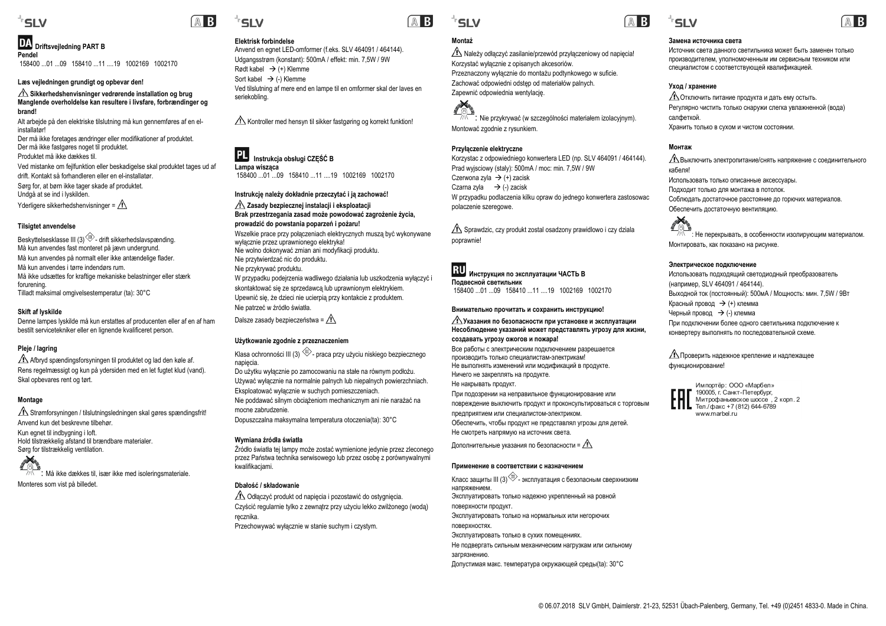### 'SIV

### **Driftsvejledning PART B Pendel**

158400 ...01 ...09 158410 ...11 ....19 1002169 1002170

### **Læs vejledningen grundigt og opbevar den!**

### Sikkerhedshenvisninger vedrørende installation og brug **Manglende overholdelse kan resultere i livsfare, forbrændinger og brand!**

Alt arbejde på den elektriske tilslutning må kun gennemføres af en elinstallatør!

Der må ikke foretages ændringer eller modifikationer af produktet. Der må ikke fastgøres noget til produktet.

Produktet må ikke dækkes til.

Ved mistanke om fejlfunktion eller beskadigelse skal produktet tages ud af drift. Kontakt så forhandleren eller en el-installatør. Sørg for, at børn ikke tager skade af produktet. Undgå at se ind i lyskilden.

Yderligere sikkerhedshenvisninger =  $\sqrt{N}$ 

### **Tilsigtet anvendelse**

Beskyttelsesklasse III (3) $\overline{\mathbb{D}}$ - drift sikkerhedslavspænding. Må kun anvendes fast monteret på jævn undergrund. Må kun anvendes på normalt eller ikke antændelige flader. Må kun anvendes i tørre indendørs rum. Må ikke udsættes for kraftige mekaniske belastninger eller stærk forurening. Tilladt maksimal omgivelsestemperatur (ta): 30°C

### **Skift af lyskilde**

Denne lampes lyskilde må kun erstattes af producenten eller af en af ham bestilt servicetekniker eller en lignende kvalificeret person.

### **Pleje / lagring**

Afbryd spændingsforsyningen til produktet og lad den køle af. Rens regelmæssigt og kun på ydersiden med en let fugtet klud (vand). Skal opbevares rent og tørt.

### **Montage**

Strømforsyningen / tilslutningsledningen skal gøres spændingsfrit! Anvend kun det beskrevne tilbehør. Kun egnet til indbygning i loft. Hold tilstrækkelig afstand til brændbare materialer. Sørg for tilstrækkelig ventilation.

FOLS Må ikke dækkes til, især ikke med isoleringsmateriale. Monteres som vist på billedet.

### **Elektrisk forbindelse**

 Anvend en egnet LED-omformer (f.eks. SLV 464091 / 464144). Udgangsstrøm (konstant): 500mA / effekt: min. 7,5W / 9W Rødt kabel → (+) Klemme Sort kabel  $\rightarrow$  (-) Klemme Ved tilslutning af mere end en lampe til en omformer skal der laves en seriekobling.

 $\Lambda$  Kontroller med hensyn til sikker fastgøring og korrekt funktion!

### **Instrukcja obsługi CZĘŚĆ<sup>B</sup> Lampa wisząca**

158400 ...01 ...09 158410 ...11 ....19 1002169 1002170

### **Instrukcję należy dokładnie przeczytać i ją zachować! Zasady bezpiecznej instalacji i eksploatacji Brak przestrzegania zasad może powodować zagrożenie życia,**

**prowadzić do powstania poparzeń i pożaru!** Wszelkie prace przy połączeniach elektrycznych muszą być wykonywane wyłącznie przez uprawnionego elektryka! Nie wolno dokonywać zmian ani modyfikacji produktu. Nie przytwierdzać nic do produktu. Nie przykrywać produktu. W przypadku podejrzenia wadliwego działania lub uszkodzenia wyłączyć i skontaktować się ze sprzedawcą lub uprawnionym elektrykiem.

Upewnić się, że dzieci nie ucierpią przy kontakcie z produktem. Nie patrzeć w źródło światła.

Dalsze zasady bezpieczeństwa =  $\sqrt{N}$ 

### **Użytkowanie zgodnie z przeznaczeniem**

Klasa ochronności III (3)  $\overline{\textcircled{\textcirc}}$ - praca przy użyciu niskiego bezpiecznego napięcia. Do użytku wyłącznie po zamocowaniu na stałe na równym podłożu.

Używać wyłącznie na normalnie palnych lub niepalnych powierzchniach. Eksploatować wyłącznie w suchych pomieszczeniach. Nie poddawać silnym obciążeniom mechanicznym ani nie narażać na mocne zabrudzenie.

Dopuszczalna maksymalna temperatura otoczenia(ta): 30°C

### **Wymiana źródła światł<sup>a</sup>**

Źródło światła tej lampy może zostać wymienione jedynie przez zleconego przez Państwa technika serwisowego lub przez osobę z porównywalnymi kwalifikacjami.

### **Dbałość / składowanie**

Odłączyć produkt od napięcia i pozostawić do ostygnięcia. Czyścić regularnie tylko z zewnątrz przy użyciu lekko zwilżonego (wodą) <sup>r</sup>ęcznika. Przechowywać wyłącznie w stanie suchym i czystym.



**Montaż**

Należy odłączyć zasilanie/przewód przyłączeniowy od napięcia!

 $\frac{\sqrt{N}}{\sqrt{N}}$ : Nie przykrywać (w szczególności materiałem izolacyjnym)

Korzystac z odpowiedniego konwertera LED (np. SLV 464091 / 464144).

W przypadku podlaczenia kilku opraw do jednego konwertera zastosowac

Sprawdzic, czy produkt zostal osadzony prawidlowo i czy dziala

Prad wyjsciowy (staly): 500mA / moc: min. 7,5W / 9W

**Инструкция по эксплуатации ЧАСТЬ B**

 158400 ...01 ...09 158410 ...11 ....19 1002169 1002170**Внимательно прочитать <sup>и</sup> сохранить инструкцию!**

Все работы <sup>с</sup> электрическим подключением разрешается производить только специалистам-электрикам! Не выполнять изменений или модификаций <sup>в</sup> продукте.

При подозрении на неправильное функционирование или повреждение выключить продукт и проконсультироваться с торговым

Обеспечить, чтобы продукт не представлял угрозы для детей.

предприятием или специалистом-электриком.

Не смотреть напрямую на источник света. Дополнительные указания по безопасности =  $\sqrt{1}$ 

**Указания по безопасности при установке и эксплуатации Несоблюдение указаний может представлять угрозу для жизни,** 

Przeznaczony wyłącznie do montażu podtynkowego w suficie. Zachować odpowiedni odstęp od materiałów palnych.

Korzystać wyłącznie z opisanych akcesoriów.

Zapewnić odpowiednia wentylację.

Montować zgodnie z rysunkiem.

**Przyłączenie elektryczne**

Czerwona zyla (+) zacisk Czarna zyla → (-) zacisk

polaczenie szeregowe.

**Подвесной светильник**

**создавать угрозу ожогов <sup>и</sup> пожара!**

Ничего не закреплять на продукте. Не накрывать продукт.

poprawnie!

**RU** 

### **Замена источника света**

Источник света данного светильника может быть заменен только производителем, уполномоченным им сервисным техником или специалистом <sup>с</sup> соответствующей квалификацией.

### **Уход / хранение**

Отключить питание продукта и дать ему остыть. Регулярно чистить только снаружи слегка увлажненной (вода) салфеткой. Хранить только <sup>в</sup> сухом <sup>и</sup> чистом состоянии.

### **Монтаж**

Выключить электропитание/снять напряжение <sup>с</sup> соединительного кабеля! Использовать только описанные аксессуары. Подходит только для монтажа <sup>в</sup> потолок. Соблюдать достаточное расстояние до горючих материалов. Обеспечить достаточную вентиляцию.

## **SHARA**

: Не перекрывать, <sup>в</sup> особенности изолирующим материалом. Монтировать, как показано на рисунке.

### **Электрическое подключение**

Использовать подходящий светодиодный преобразователь (например, SLV 464091 / 464144). Выходной ток (постоянный): 500мА / Мощность: мин. 7,5W / 9Вт Красный провод (+) клемма Черный провод → (-) клемма При подключении более одного светильника подключение <sup>к</sup> конвертеру выполнять по последовательной схеме.

### Проверить надежное крепление <sup>и</sup> надлежащее функционирование!



Импортёр: ООО «Марбел» 190005, <sup>г</sup>. Санкт-Петербург, Митрофаньевское шоссе, 2 корп. 2 Тел./факс +7 (812) 644-6789 www.marbel.ru

**Применение <sup>в</sup> соответствии <sup>с</sup> назначением** Класс защиты III (3) <sup>\\\//</sup> - эксплуатация с безопасным сверхнизким напряжением. Эксплуатировать только надежно укрепленный на ровной поверхности продукт. Эксплуатировать только на нормальных или негорючих поверхностях. Эксплуатировать только <sup>в</sup> сухих помещениях. Не подвергать сильным механическим нагрузкам или сильному загрязнению.

Допустимая макс. температура окружающей среды(ta): 30°C